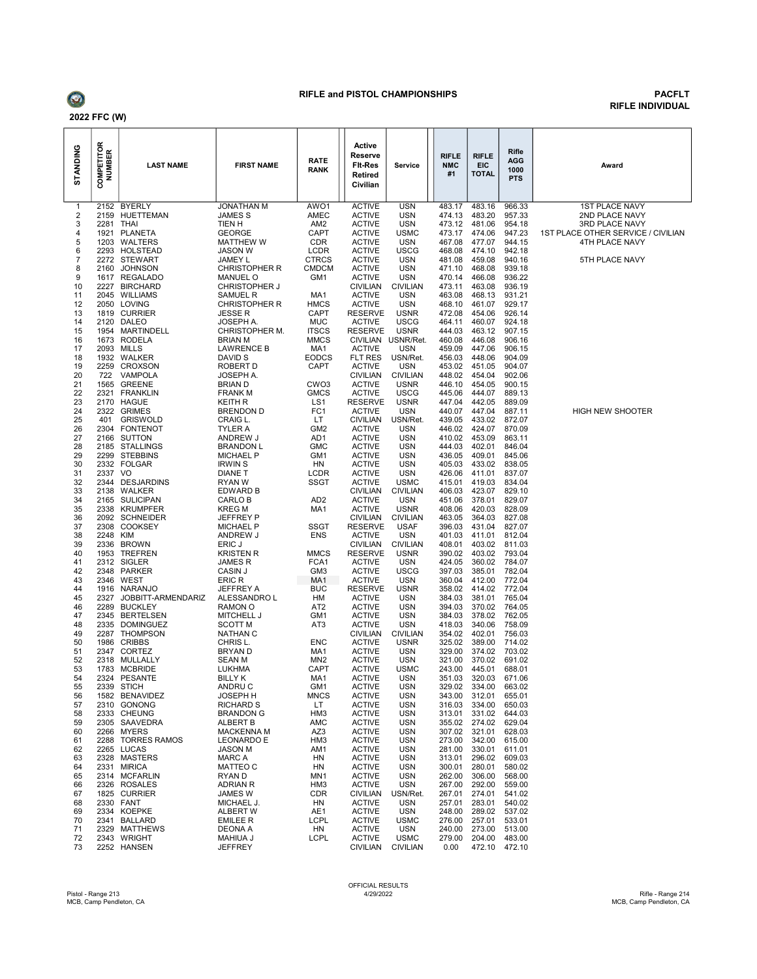

#### RIFLE and PISTOL CHAMPIONSHIPS PACFLT

# RIFLE INDIVIDUAL

| STANDING | <b>COMPETITOR</b><br>NUMBER | <b>LAST NAME</b>                    | <b>FIRST NAME</b>                | RATE<br><b>RANK</b>             | Active<br>Reserve<br><b>Fit-Res</b><br><b>Retired</b><br>Civilian | Service                        | RIFLE<br><b>NMC</b><br>#1 | <b>RIFLE</b><br><b>EIC</b><br><b>TOTAL</b> | Rifle<br><b>AGG</b><br>1000<br><b>PTS</b> | Award                              |
|----------|-----------------------------|-------------------------------------|----------------------------------|---------------------------------|-------------------------------------------------------------------|--------------------------------|---------------------------|--------------------------------------------|-------------------------------------------|------------------------------------|
| 1        | 2152                        | <b>BYERLY</b>                       | JONATHAN M                       | AWO <sub>1</sub>                | <b>ACTIVE</b>                                                     | <b>USN</b>                     | 483.17                    | 483.16                                     | 966.33                                    | <b>1ST PLACE NAVY</b>              |
| 2<br>3   | 2159<br>2281                | HUETTEMAN<br><b>THAI</b>            | JAMES S<br>TIEN H                | AMEC<br>AM <sub>2</sub>         | <b>ACTIVE</b><br><b>ACTIVE</b>                                    | <b>USN</b><br><b>USN</b>       | 474.13<br>473.12          | 483.20<br>481.06                           | 957.33<br>954.18                          | 2ND PLACE NAVY<br>3RD PLACE NAVY   |
| 4        | 1921                        | <b>PLANETA</b>                      | <b>GEORGE</b>                    | CAPT                            | <b>ACTIVE</b>                                                     | <b>USMC</b>                    | 473.17                    | 474.06                                     | 947.23                                    | 1ST PLACE OTHER SERVICE / CIVILIAN |
| 5        | 1203                        | WALTERS                             | <b>MATTHEW W</b>                 | <b>CDR</b>                      | <b>ACTIVE</b>                                                     | <b>USN</b>                     | 467.08                    | 477.07                                     | 944.15                                    | 4TH PLACE NAVY                     |
| 6        | 2293                        | <b>HOLSTEAD</b>                     | <b>JASON W</b>                   | LCDR                            | <b>ACTIVE</b>                                                     | <b>USCG</b>                    | 468.08                    | 474.10                                     | 942.18                                    |                                    |
| 7<br>8   | 2160                        | 2272 STEWART<br><b>JOHNSON</b>      | JAMEY L<br><b>CHRISTOPHER R</b>  | <b>CTRCS</b><br><b>CMDCM</b>    | <b>ACTIVE</b><br><b>ACTIVE</b>                                    | <b>USN</b><br><b>USN</b>       | 481.08<br>471.10          | 459.08<br>468.08                           | 940.16<br>939.18                          | 5TH PLACE NAVY                     |
| 9        | 1617                        | <b>REGALADO</b>                     | <b>MANUEL O</b>                  | GM1                             | <b>ACTIVE</b>                                                     | <b>USN</b>                     | 470.14                    | 466.08                                     | 936.22                                    |                                    |
| 10       | 2227                        | <b>BIRCHARD</b>                     | <b>CHRISTOPHER J</b>             |                                 | <b>CIVILIAN</b>                                                   | <b>CIVILIAN</b>                | 473.11                    | 463.08                                     | 936.19                                    |                                    |
| 11       | 2045                        | WILLIAMS                            | SAMUEL R                         | MA1                             | <b>ACTIVE</b>                                                     | <b>USN</b>                     | 463.08                    | 468.13<br>461.07                           | 931.21                                    |                                    |
| 12<br>13 | 2050<br>1819                | LOVING<br><b>CURRIER</b>            | <b>CHRISTOPHER R</b><br>JESSE R  | <b>HMCS</b><br>CAPT             | <b>ACTIVE</b><br><b>RESERVE</b>                                   | <b>USN</b><br><b>USNR</b>      | 468.10<br>472.08          | 454.06                                     | 929.17<br>926.14                          |                                    |
| 14       | 2120                        | <b>DALEO</b>                        | JOSEPH A.                        | <b>MUC</b>                      | <b>ACTIVE</b>                                                     | <b>USCG</b>                    | 464.11                    | 460.07                                     | 924.18                                    |                                    |
| 15       |                             | 1954 MARTINDELL                     | <b>CHRISTOPHER M.</b>            | <b>ITSCS</b>                    | <b>RESERVE</b>                                                    | <b>USNR</b>                    | 444.03                    | 463.12                                     | 907.15                                    |                                    |
| 16<br>17 | 1673<br>2093                | <b>RODELA</b><br>MILLS              | BRIAN M<br>LAWRENCE B            | <b>MMCS</b><br>MA1              | <b>CIVILIAN</b><br><b>ACTIVE</b>                                  | USNR/Ret.<br><b>USN</b>        | 460.08<br>459.09          | 446.08<br>447.06                           | 906.16<br>906.15                          |                                    |
| 18       | 1932                        | WALKER                              | DAVID S                          | <b>EODCS</b>                    | FLT RES                                                           | USN/Ret.                       | 456.03                    | 448.06                                     | 904.09                                    |                                    |
| 19       | 2259                        | <b>CROXSON</b>                      | ROBERT D                         | <b>CAPT</b>                     | <b>ACTIVE</b>                                                     | <b>USN</b>                     | 453.02                    | 451.05                                     | 904.07                                    |                                    |
| 20       | 722                         | VAMPOLA                             | JOSEPH A.                        |                                 | <b>CIVILIAN</b>                                                   | <b>CIVILIAN</b>                | 448.02                    | 454.04                                     | 902.06                                    |                                    |
| 21<br>22 | 1565<br>2321                | <b>GREENE</b><br><b>FRANKLIN</b>    | <b>BRIAN D</b><br>FRANK M        | CWO <sub>3</sub><br><b>GMCS</b> | <b>ACTIVE</b><br><b>ACTIVE</b>                                    | <b>USNR</b><br><b>USCG</b>     | 446.10<br>445.06          | 454.05<br>444.07                           | 900.15<br>889.13                          |                                    |
| 23       | 2170                        | <b>HAGUE</b>                        | KEITH R                          | LS1                             | <b>RESERVE</b>                                                    | <b>USNR</b>                    | 447.04                    | 442.05                                     | 889.09                                    |                                    |
| 24       | 2322                        | <b>GRIMES</b>                       | BRENDON D                        | FC <sub>1</sub>                 | <b>ACTIVE</b>                                                     | <b>USN</b>                     | 440.07                    | 447.04                                     | 887.11                                    | <b>HIGH NEW SHOOTER</b>            |
| 25       | 401                         | <b>GRISWOLD</b>                     | CRAIG L.                         | LT.                             | <b>CIVILIAN</b>                                                   | USN/Ret.                       | 439.05                    | 433.02                                     | 872.07                                    |                                    |
| 26<br>27 | 2304<br>2166                | <b>FONTENOT</b><br><b>SUTTON</b>    | TYLER A<br>ANDREW J              | GM <sub>2</sub><br>AD1          | <b>ACTIVE</b><br><b>ACTIVE</b>                                    | <b>USN</b><br><b>USN</b>       | 446.02<br>410.02          | 424.07<br>453.09                           | 870.09<br>863.11                          |                                    |
| 28       | 2185                        | <b>STALLINGS</b>                    | <b>BRANDON L</b>                 | <b>GMC</b>                      | <b>ACTIVE</b>                                                     | <b>USN</b>                     | 444.03                    | 402.01                                     | 846.04                                    |                                    |
| 29       | 2299                        | <b>STEBBINS</b>                     | <b>MICHAEL P</b>                 | GM <sub>1</sub>                 | <b>ACTIVE</b>                                                     | <b>USN</b>                     | 436.05                    | 409.01                                     | 845.06                                    |                                    |
| 30<br>31 | 2337 VO                     | 2332 FOLGAR                         | <b>IRWIN S</b><br><b>DIANE T</b> | HN<br>LCDR                      | <b>ACTIVE</b><br><b>ACTIVE</b>                                    | <b>USN</b><br><b>USN</b>       | 405.03<br>426.06          | 433.02<br>411.01                           | 838.05<br>837.07                          |                                    |
| 32       | 2344                        | <b>DESJARDINS</b>                   | RYAN W                           | SSGT                            | <b>ACTIVE</b>                                                     | <b>USMC</b>                    | 415.01                    | 419.03                                     | 834.04                                    |                                    |
| 33       | 2138                        | WALKER                              | <b>EDWARD B</b>                  |                                 | <b>CIVILIAN</b>                                                   | <b>CIVILIAN</b>                | 406.03                    | 423.07                                     | 829.10                                    |                                    |
| 34       | 2165                        | <b>SULICIPAN</b>                    | CARLO B                          | AD <sub>2</sub>                 | <b>ACTIVE</b>                                                     | <b>USN</b>                     | 451.06                    | 378.01                                     | 829.07                                    |                                    |
| 35<br>36 | 2338<br>2092                | <b>KRUMPFER</b><br><b>SCHNEIDER</b> | KREG M<br>JEFFREY P              | MA1                             | <b>ACTIVE</b><br><b>CIVILIAN</b>                                  | <b>USNR</b><br><b>CIVILIAN</b> | 408.06<br>463.05          | 420.03<br>364.03                           | 828.09<br>827.08                          |                                    |
| 37       | 2308                        | <b>COOKSEY</b>                      | <b>MICHAEL P</b>                 | <b>SSGT</b>                     | <b>RESERVE</b>                                                    | <b>USAF</b>                    | 396.03                    | 431.04                                     | 827.07                                    |                                    |
| 38       | 2248                        | <b>KIM</b>                          | ANDREW J                         | <b>ENS</b>                      | <b>ACTIVE</b>                                                     | <b>USN</b>                     | 401.03                    | 411.01                                     | 812.04                                    |                                    |
| 39       | 2336                        | <b>BROWN</b>                        | ERIC J                           |                                 | <b>CIVILIAN</b>                                                   | <b>CIVILIAN</b>                | 408.01                    | 403.02                                     | 811.03                                    |                                    |
| 40<br>41 | 1953<br>2312                | <b>TREFREN</b><br>SIGLER            | KRISTEN R<br>JAMES R             | <b>MMCS</b><br>FCA1             | <b>RESERVE</b><br><b>ACTIVE</b>                                   | <b>USNR</b><br><b>USN</b>      | 390.02<br>424.05          | 403.02<br>360.02                           | 793.04<br>784.07                          |                                    |
| 42       | 2348                        | PARKER                              | CASIN J                          | GM <sub>3</sub>                 | <b>ACTIVE</b>                                                     | <b>USCG</b>                    | 397.03                    | 385.01                                     | 782.04                                    |                                    |
| 43       | 2346                        | WEST                                | ERIC R                           | MA1                             | <b>ACTIVE</b>                                                     | <b>USN</b>                     | 360.04                    | 412.00                                     | 772.04                                    |                                    |
| 44<br>45 | 2327                        | 1916 NARANJO<br>JOBBITT-ARMENDARIZ  | JEFFREY A<br>ALESSANDRO L        | <b>BUC</b><br>HM                | <b>RESERVE</b><br><b>ACTIVE</b>                                   | <b>USNR</b><br><b>USN</b>      | 358.02<br>384.03          | 414.02<br>381.01                           | 772.04<br>765.04                          |                                    |
| 46       | 2289                        | <b>BUCKLEY</b>                      | RAMON O                          | AT <sub>2</sub>                 | <b>ACTIVE</b>                                                     | <b>USN</b>                     | 394.03                    | 370.02                                     | 764.05                                    |                                    |
| 47       | 2345                        | <b>BERTELSEN</b>                    | <b>MITCHELL J</b>                | GM1                             | <b>ACTIVE</b>                                                     | <b>USN</b>                     | 384.03                    | 378.02                                     | 762.05                                    |                                    |
| 48       | 2335                        | <b>DOMINGUEZ</b>                    | <b>SCOTT M</b>                   | AT3                             | <b>ACTIVE</b>                                                     | <b>USN</b>                     | 418.03                    | 340.06                                     | 758.09                                    |                                    |
| 49<br>50 | 2287<br>1986                | <b>THOMPSON</b><br><b>CRIBBS</b>    | <b>NATHAN C</b><br>CHRIS L       | <b>ENC</b>                      | <b>CIVILIAN</b><br><b>ACTIVE</b>                                  | <b>CIVILIAN</b><br><b>USNR</b> | 354.02<br>325.02          | 402.01<br>389.00                           | 756.03<br>714.02                          |                                    |
| 51       | 2347                        | CORTEZ                              | BRYAN D                          | MA1                             | <b>ACTIVE</b>                                                     | <b>USN</b>                     | 329.00                    | 374.02                                     | 703.02                                    |                                    |
| 52       |                             | 2318 MULLALLY                       | SEAN M                           | MN <sub>2</sub>                 | <b>ACTIVE</b>                                                     | <b>USN</b>                     | 321.00                    | 370.02                                     | 691.02                                    |                                    |
| 53<br>54 | 1783                        | <b>MCBRIDE</b><br>2324 PESANTE      | LUKHMA<br><b>BILLY K</b>         | <b>CAPT</b><br>MA1              | <b>ACTIVE</b><br><b>ACTIVE</b>                                    | <b>USMC</b><br><b>USN</b>      | 243.00<br>351.03          | 445.01<br>320.03                           | 688.01<br>671.06                          |                                    |
| 55       |                             | 2339 STICH                          | ANDRU C                          | GM1                             | <b>ACTIVE</b>                                                     | USN                            | 329.02                    | 334.00                                     | 663.02                                    |                                    |
| 56       |                             | 1582 BENAVIDEZ                      | JOSEPH H                         | MNCS                            | <b>ACTIVE</b>                                                     | USN                            | 343.00                    | 312.01                                     | 655.01                                    |                                    |
| 57       |                             | 2310 GONONG                         | <b>RICHARD S</b>                 | LT.                             | <b>ACTIVE</b>                                                     | <b>USN</b>                     | 316.03                    | 334.00                                     | 650.03                                    |                                    |
| 58<br>59 |                             | 2333 CHEUNG<br>2305 SAAVEDRA        | <b>BRANDON G</b><br>ALBERT B     | HM3<br><b>AMC</b>               | <b>ACTIVE</b><br><b>ACTIVE</b>                                    | <b>USN</b><br><b>USN</b>       | 313.01<br>355.02          | 331.02<br>274.02                           | 644.03<br>629.04                          |                                    |
| 60       |                             | 2266 MYERS                          | <b>MACKENNA M</b>                | AZ3                             | <b>ACTIVE</b>                                                     | <b>USN</b>                     | 307.02                    | 321.01                                     | 628.03                                    |                                    |
| 61       |                             | 2288 TORRES RAMOS                   | <b>LEONARDO E</b>                | HM <sub>3</sub>                 | <b>ACTIVE</b>                                                     | <b>USN</b>                     | 273.00                    | 342.00                                     | 615.00                                    |                                    |
| 62       |                             | 2265 LUCAS                          | JASON M                          | AM1                             | <b>ACTIVE</b>                                                     | <b>USN</b>                     | 281.00                    | 330.01                                     | 611.01                                    |                                    |
| 63<br>64 |                             | 2328 MASTERS<br>2331 MIRICA         | MARC A<br>MATTEO C               | HN<br>HN                        | <b>ACTIVE</b><br><b>ACTIVE</b>                                    | <b>USN</b><br><b>USN</b>       | 313.01<br>300.01          | 296.02<br>280.01                           | 609.03<br>580.02                          |                                    |
| 65       |                             | 2314 MCFARLIN                       | RYAN D                           | MN1                             | <b>ACTIVE</b>                                                     | <b>USN</b>                     | 262.00                    | 306.00                                     | 568.00                                    |                                    |
| 66       |                             | 2326 ROSALES                        | <b>ADRIAN R</b>                  | HM <sub>3</sub>                 | <b>ACTIVE</b>                                                     | <b>USN</b>                     | 267.00                    | 292.00                                     | 559.00                                    |                                    |
| 67<br>68 |                             | 1825 CURRIER<br>2330 FANT           | JAMES W<br>MICHAEL J.            | CDR<br>HN                       | <b>CIVILIAN</b><br><b>ACTIVE</b>                                  | USN/Ret.<br><b>USN</b>         | 267.01<br>257.01          | 274.01<br>283.01                           | 541.02<br>540.02                          |                                    |
| 69       |                             | 2334 KOEPKE                         | <b>ALBERT W</b>                  | AE1                             | <b>ACTIVE</b>                                                     | <b>USN</b>                     | 248.00                    | 289.02                                     | 537.02                                    |                                    |
| 70       |                             | 2341 BALLARD                        | <b>EMILEE R</b>                  | <b>LCPL</b>                     | <b>ACTIVE</b>                                                     | <b>USMC</b>                    | 276.00                    | 257.01                                     | 533.01                                    |                                    |
| 71       |                             | 2329 MATTHEWS                       | DEONA A                          | HN                              | <b>ACTIVE</b>                                                     | USN                            | 240.00                    | 273.00                                     | 513.00                                    |                                    |
| 72<br>73 |                             | 2343 WRIGHT<br>2252 HANSEN          | MAHIUA J<br><b>JEFFREY</b>       | <b>LCPL</b>                     | <b>ACTIVE</b><br><b>CIVILIAN</b>                                  | <b>USMC</b><br><b>CIVILIAN</b> | 279.00<br>0.00            | 204.00                                     | 483.00<br>472.10 472.10                   |                                    |
|          |                             |                                     |                                  |                                 |                                                                   |                                |                           |                                            |                                           |                                    |